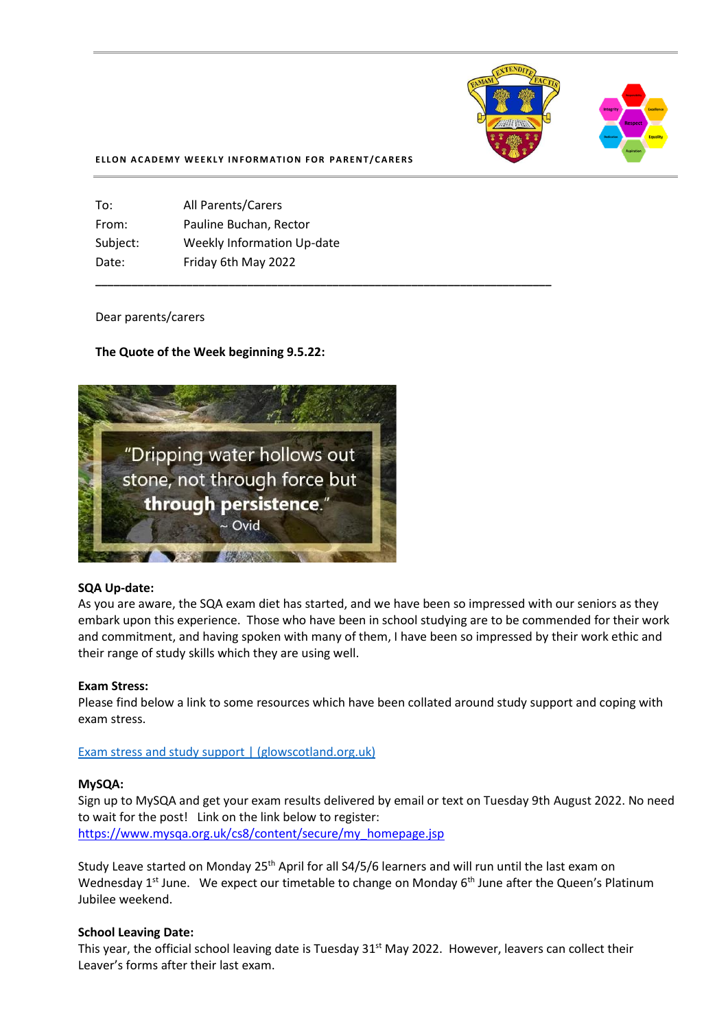

#### **ELLON ACADEMY WEEKLY INFORMATION FOR PARENT/CARERS**

**\_\_\_\_\_\_\_\_\_\_\_\_\_\_\_\_\_\_\_\_\_\_\_\_\_\_\_\_\_\_\_\_\_\_\_\_\_\_\_\_\_\_\_\_\_\_\_\_\_\_\_\_\_\_\_\_\_\_\_\_\_\_\_\_\_\_\_\_\_\_\_\_\_\_\_**

| <b>All Parents/Carers</b>         |
|-----------------------------------|
| Pauline Buchan, Rector            |
| <b>Weekly Information Up-date</b> |
| Friday 6th May 2022               |
|                                   |

### Dear parents/carers

## **The Quote of the Week beginning 9.5.22:**



## **SQA Up-date:**

As you are aware, the SQA exam diet has started, and we have been so impressed with our seniors as they embark upon this experience. Those who have been in school studying are to be commended for their work and commitment, and having spoken with many of them, I have been so impressed by their work ethic and their range of study skills which they are using well.

### **Exam Stress:**

Please find below a link to some resources which have been collated around study support and coping with exam stress.

[Exam stress and study support | \(glowscotland.org.uk\)](https://blogs.glowscotland.org.uk/as/aberdeenshireeps/exam-stress-and-study-support/)

### **MySQA:**

Sign up to MySQA and get your exam results delivered by email or text on Tuesday 9th August 2022. No need to wait for the post! Link on the link below to register: [https://www.mysqa.org.uk/cs8/content/secure/my\\_homepage.jsp](https://l.facebook.com/l.php?u=https%3A%2F%2Fwww.mysqa.org.uk%2Fcs8%2Fcontent%2Fsecure%2Fmy_homepage.jsp%3Ffbclid%3DIwAR0g9GZcUpZZ_PpcfHl2y3dosYHZwsAJkTIxtkj3boI0iuwlwxVAOeYORos&h=AT1TA_siBgP3pWtRwa3CsNeeYwSViLWCiuyk9WaYbNJfRKCWnfBT3DquBeQdcDWSOjVCH7OBLhmVN9UBFRBQ4eMd33jfThP5o6I1uabUI067qsPSwGu3DHGi4mCezeZou9Vd&__tn__=-UK-R&c%5b0%5d=AT2pWJVD5PnBl5Hodj-l7hMPdqEYvq9oafQ2aT1mRhjk9_wVdOxx_BM7ICiqSLpqDv9AQTpEBQFJaBBy5lZmWQQjd8tS1nnLmcTbWBEoAv68rUxAuT0FbFW6VfjfK5fqA44sXpdGHhRikx2bLus9il3MpoK8f_m2Z0LTVS0qt1qfBXgTyX1VxtFkcgvouYIIw0gbH3Cp)

Study Leave started on Monday 25<sup>th</sup> April for all S4/5/6 learners and will run until the last exam on Wednesday 1<sup>st</sup> June. We expect our timetable to change on Monday 6<sup>th</sup> June after the Queen's Platinum Jubilee weekend.

### **School Leaving Date:**

This year, the official school leaving date is Tuesday 31<sup>st</sup> May 2022. However, leavers can collect their Leaver's forms after their last exam.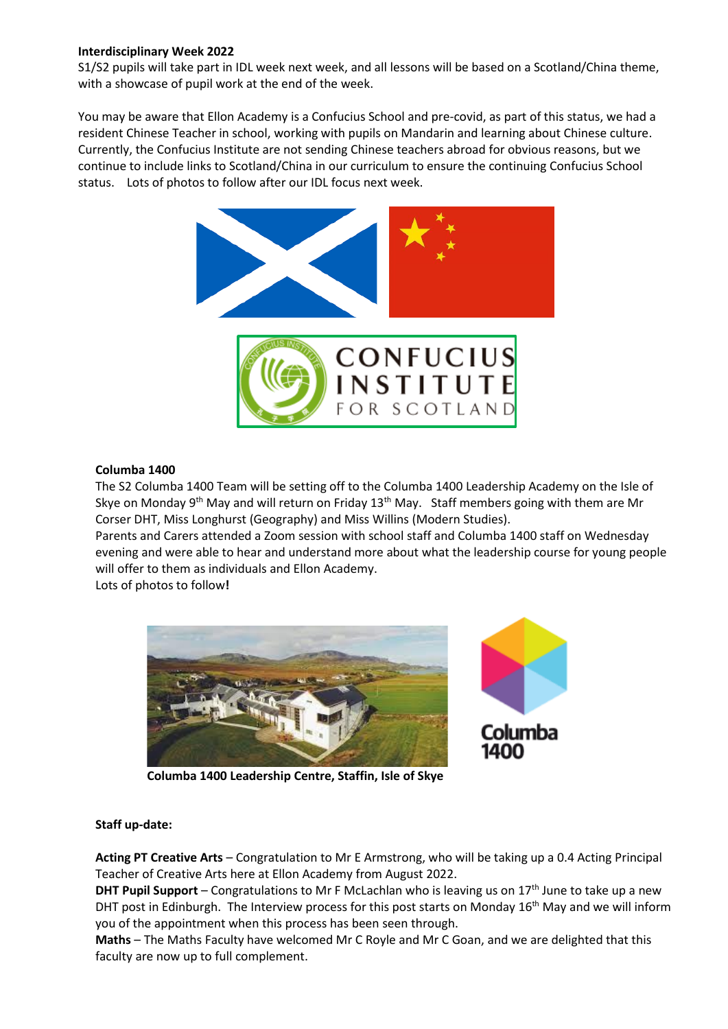# **Interdisciplinary Week 2022**

S1/S2 pupils will take part in IDL week next week, and all lessons will be based on a Scotland/China theme, with a showcase of pupil work at the end of the week.

You may be aware that Ellon Academy is a Confucius School and pre-covid, as part of this status, we had a resident Chinese Teacher in school, working with pupils on Mandarin and learning about Chinese culture. Currently, the Confucius Institute are not sending Chinese teachers abroad for obvious reasons, but we continue to include links to Scotland/China in our curriculum to ensure the continuing Confucius School status. Lots of photos to follow after our IDL focus next week.



# **Columba 1400**

The S2 Columba 1400 Team will be setting off to the Columba 1400 Leadership Academy on the Isle of Skye on Monday 9<sup>th</sup> May and will return on Friday 13<sup>th</sup> May. Staff members going with them are Mr Corser DHT, Miss Longhurst (Geography) and Miss Willins (Modern Studies).

Parents and Carers attended a Zoom session with school staff and Columba 1400 staff on Wednesday evening and were able to hear and understand more about what the leadership course for young people will offer to them as individuals and Ellon Academy.

Lots of photos to follow**!** 





 **Columba 1400 Leadership Centre, Staffin, Isle of Skye**

# **Staff up-date:**

**Acting PT Creative Arts** – Congratulation to Mr E Armstrong, who will be taking up a 0.4 Acting Principal Teacher of Creative Arts here at Ellon Academy from August 2022.

**DHT Pupil Support** – Congratulations to Mr F McLachlan who is leaving us on 17<sup>th</sup> June to take up a new DHT post in Edinburgh. The Interview process for this post starts on Monday 16<sup>th</sup> May and we will inform you of the appointment when this process has been seen through.

**Maths** – The Maths Faculty have welcomed Mr C Royle and Mr C Goan, and we are delighted that this faculty are now up to full complement.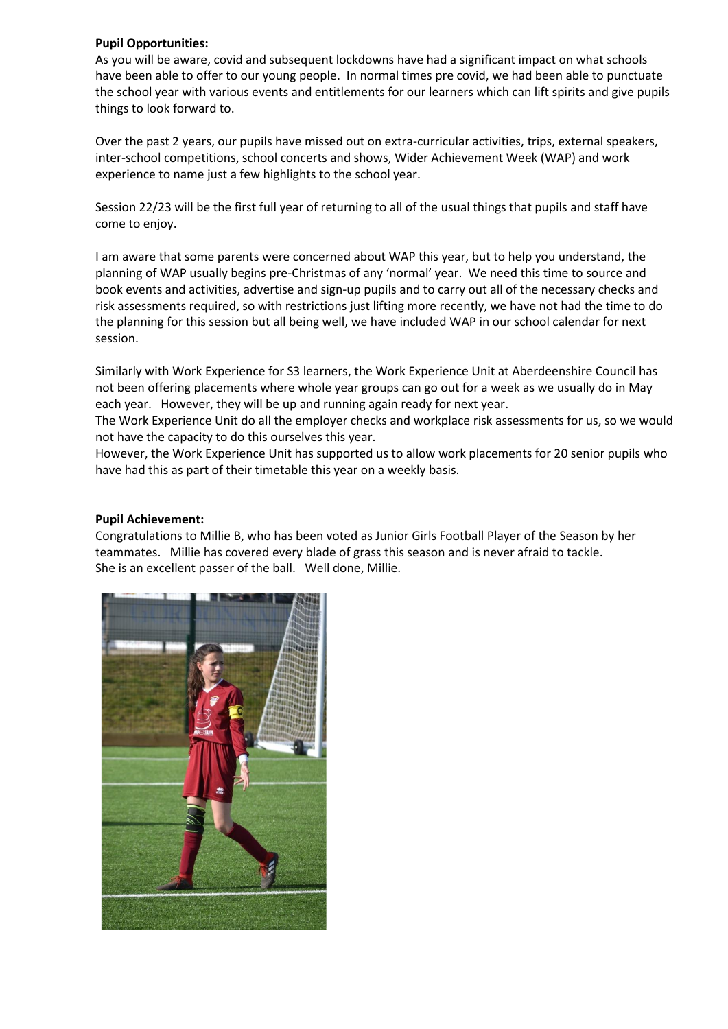# **Pupil Opportunities:**

As you will be aware, covid and subsequent lockdowns have had a significant impact on what schools have been able to offer to our young people. In normal times pre covid, we had been able to punctuate the school year with various events and entitlements for our learners which can lift spirits and give pupils things to look forward to.

Over the past 2 years, our pupils have missed out on extra-curricular activities, trips, external speakers, inter-school competitions, school concerts and shows, Wider Achievement Week (WAP) and work experience to name just a few highlights to the school year.

Session 22/23 will be the first full year of returning to all of the usual things that pupils and staff have come to enjoy.

I am aware that some parents were concerned about WAP this year, but to help you understand, the planning of WAP usually begins pre-Christmas of any 'normal' year. We need this time to source and book events and activities, advertise and sign-up pupils and to carry out all of the necessary checks and risk assessments required, so with restrictions just lifting more recently, we have not had the time to do the planning for this session but all being well, we have included WAP in our school calendar for next session.

Similarly with Work Experience for S3 learners, the Work Experience Unit at Aberdeenshire Council has not been offering placements where whole year groups can go out for a week as we usually do in May each year. However, they will be up and running again ready for next year.

The Work Experience Unit do all the employer checks and workplace risk assessments for us, so we would not have the capacity to do this ourselves this year.

However, the Work Experience Unit has supported us to allow work placements for 20 senior pupils who have had this as part of their timetable this year on a weekly basis.

## **Pupil Achievement:**

Congratulations to Millie B, who has been voted as Junior Girls Football Player of the Season by her teammates. Millie has covered every blade of grass this season and is never afraid to tackle. She is an excellent passer of the ball. Well done, Millie.

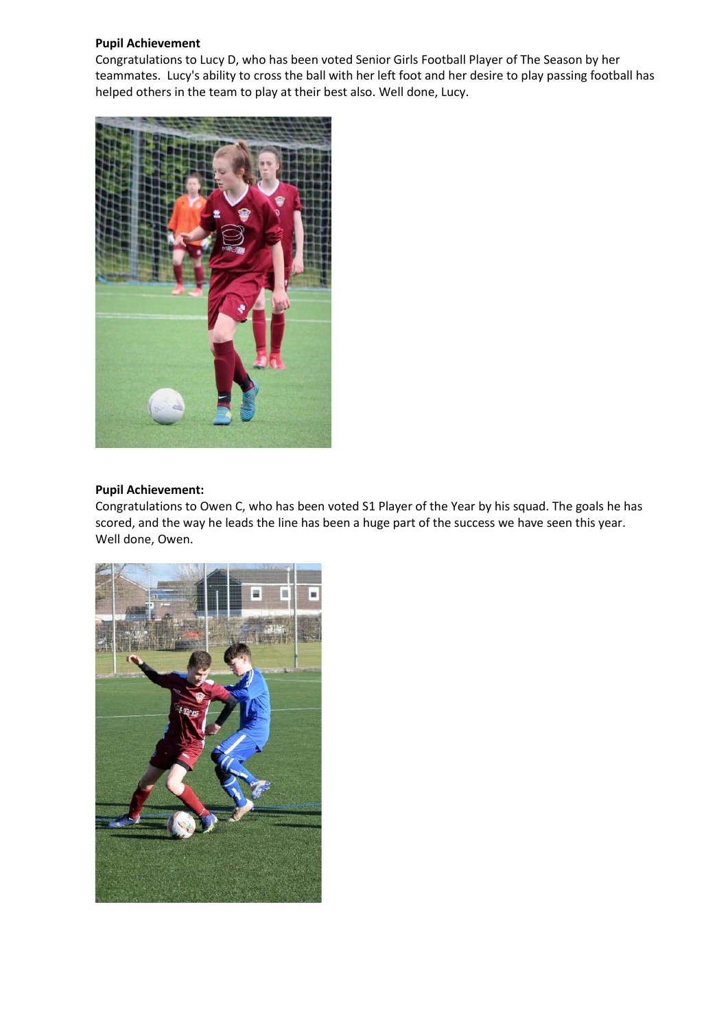## **Pupil Achievement**

Congratulations to Lucy D, who has been voted Senior Girls Football Player of The Season by her teammates. Lucy's ability to cross the ball with her left foot and her desire to play passing football has helped others in the team to play at their best also. Well done, Lucy.



# **Pupil Achievement:**

Congratulations to Owen C, who has been voted S1 Player of the Year by his squad. The goals he has scored, and the way he leads the line has been a huge part of the success we have seen this year. Well done, Owen.

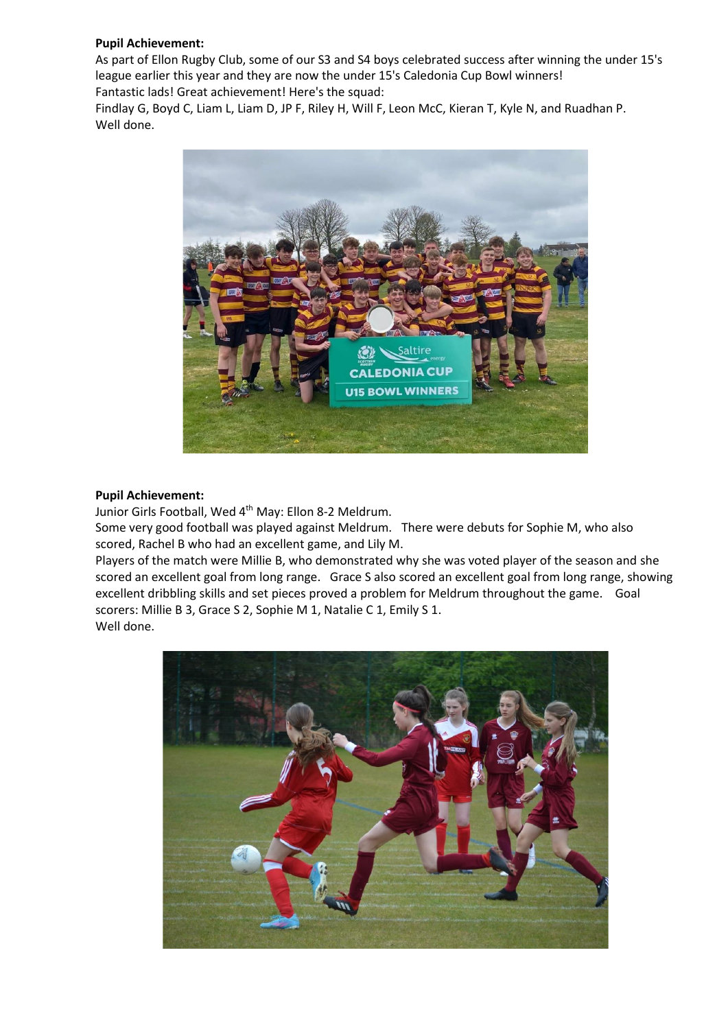# **Pupil Achievement:**

As part of Ellon Rugby Club, some of our S3 and S4 boys celebrated success after winning the under 15's league earlier this year and they are now the under 15's Caledonia Cup Bowl winners! Fantastic lads! Great achievement! Here's the squad:

Findlay G, Boyd C, Liam L, Liam D, JP F, Riley H, Will F, Leon McC, Kieran T, Kyle N, and Ruadhan P. Well done.



## **Pupil Achievement:**

Junior Girls Football, Wed 4<sup>th</sup> May: Ellon 8-2 Meldrum.

Some very good football was played against Meldrum. There were debuts for Sophie M, who also scored, Rachel B who had an excellent game, and Lily M.

Players of the match were Millie B, who demonstrated why she was voted player of the season and she scored an excellent goal from long range. Grace S also scored an excellent goal from long range, showing excellent dribbling skills and set pieces proved a problem for Meldrum throughout the game. Goal scorers: Millie B 3, Grace S 2, Sophie M 1, Natalie C 1, Emily S 1. Well done.